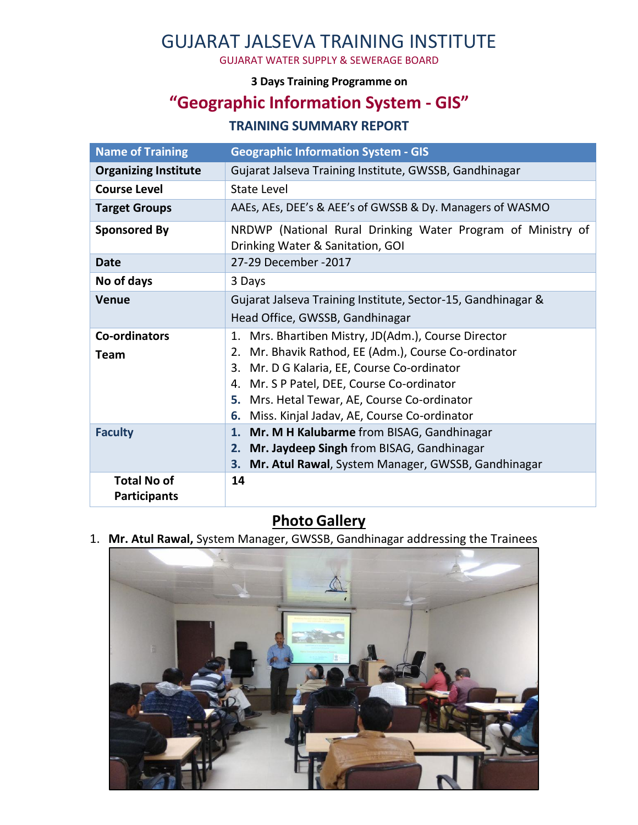# GUJARAT JALSEVA TRAINING INSTITUTE

GUJARAT WATER SUPPLY & SEWERAGE BOARD

#### **3 Days Training Programme on**

## **"Geographic Information System - GIS"**

### **TRAINING SUMMARY REPORT**

| <b>Name of Training</b>                   | <b>Geographic Information System - GIS</b>                                                                                                                                                                                                                                                                          |
|-------------------------------------------|---------------------------------------------------------------------------------------------------------------------------------------------------------------------------------------------------------------------------------------------------------------------------------------------------------------------|
| <b>Organizing Institute</b>               | Gujarat Jalseva Training Institute, GWSSB, Gandhinagar                                                                                                                                                                                                                                                              |
| <b>Course Level</b>                       | State Level                                                                                                                                                                                                                                                                                                         |
| <b>Target Groups</b>                      | AAEs, AEs, DEE's & AEE's of GWSSB & Dy. Managers of WASMO                                                                                                                                                                                                                                                           |
| <b>Sponsored By</b>                       | NRDWP (National Rural Drinking Water Program of Ministry of<br>Drinking Water & Sanitation, GOI                                                                                                                                                                                                                     |
| <b>Date</b>                               | 27-29 December -2017                                                                                                                                                                                                                                                                                                |
| No of days                                | 3 Days                                                                                                                                                                                                                                                                                                              |
| <b>Venue</b>                              | Gujarat Jalseva Training Institute, Sector-15, Gandhinagar &                                                                                                                                                                                                                                                        |
|                                           | Head Office, GWSSB, Gandhinagar                                                                                                                                                                                                                                                                                     |
| <b>Co-ordinators</b><br>Team              | 1. Mrs. Bhartiben Mistry, JD(Adm.), Course Director<br>Mr. Bhavik Rathod, EE (Adm.), Course Co-ordinator<br>2.<br>3.<br>Mr. D G Kalaria, EE, Course Co-ordinator<br>4. Mr. S P Patel, DEE, Course Co-ordinator<br>5. Mrs. Hetal Tewar, AE, Course Co-ordinator<br>Miss. Kinjal Jadav, AE, Course Co-ordinator<br>6. |
| <b>Faculty</b>                            | 1. Mr. M H Kalubarme from BISAG, Gandhinagar<br>2. Mr. Jaydeep Singh from BISAG, Gandhinagar<br>Mr. Atul Rawal, System Manager, GWSSB, Gandhinagar<br>3.                                                                                                                                                            |
| <b>Total No of</b><br><b>Participants</b> | 14                                                                                                                                                                                                                                                                                                                  |

### **Photo Gallery**

1. **Mr. Atul Rawal,** System Manager, GWSSB, Gandhinagar addressing the Trainees

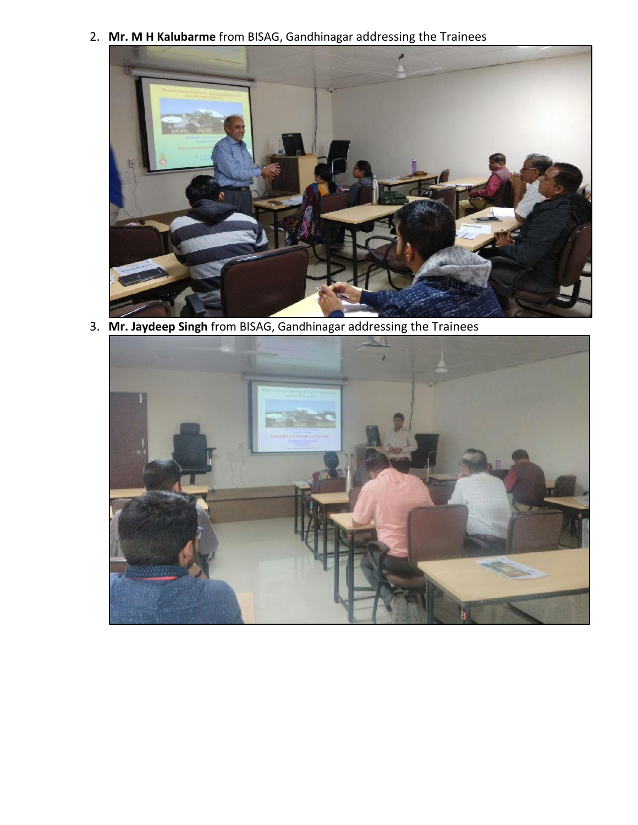2. **Mr. M H Kalubarme** from BISAG, Gandhinagar addressing the Trainees



3. **Mr. Jaydeep Singh** from BISAG, Gandhinagar addressing the Trainees